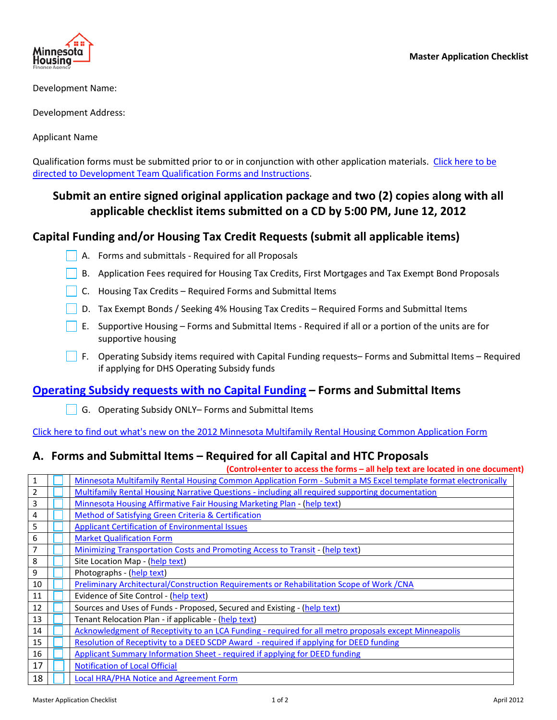

Development Name:

Development Address:

Applicant Name

Qualification forms must be submitted prior to or in conjunction with other application materials. [Click here to be](http://mnhousing.gov/resources/apply/multifamily/MHFA_006628.aspx)  [directed to Development Team Qualification Forms and Instructions.](http://mnhousing.gov/resources/apply/multifamily/MHFA_006628.aspx)

# **Submit an entire signed original application package and two (2) copies along with all applicable checklist items submitted on a CD by 5:00 PM, June 12, 2012**

# **Capital Funding and/or Housing Tax Credit Requests (submit all applicable items)**

- A. Forms and submittals Required for all Proposals
	- B. Application Fees required for Housing Tax Credits, First Mortgages and Tax Exempt Bond Proposals
	- C. Housing Tax Credits Required Forms and Submittal Items
	- D. Tax Exempt Bonds / Seeking 4% Housing Tax Credits Required Forms and Submittal Items
- E. Supportive Housing Forms and Submittal Items Required if all or a portion of the units are for supportive housing
- F. Operating Subsidy items required with Capital Funding requests– Forms and Submittal Items Required if applying for DHS Operating Subsidy funds

# **[Operating Subsidy requests with no Capital Funding](#page-1-0) – Forms and Submittal Items**

G. Operating Subsidy ONLY– Forms and Submittal Items

Click here to find out what's new on the 2012 [Minnesota Multifamily Rental Housing Common Application Form](http://mnhousing.gov/idc/groups/multifamily/documents/webcontent/mhfa_007943.pdf)

# **A. Forms and Submittal Items – Required for all Capital and HTC Proposals**

|              | (Control+enter to access the forms - all help text are located in one document)                                 |
|--------------|-----------------------------------------------------------------------------------------------------------------|
| $\mathbf{1}$ | Minnesota Multifamily Rental Housing Common Application Form - Submit a MS Excel template format electronically |
| 2            | Multifamily Rental Housing Narrative Questions - including all required supporting documentation                |
| 3            | Minnesota Housing Affirmative Fair Housing Marketing Plan - (help text)                                         |
| 4            | Method of Satisfying Green Criteria & Certification                                                             |
| 5            | <b>Applicant Certification of Environmental Issues</b>                                                          |
| 6            | <b>Market Qualification Form</b>                                                                                |
|              | <b>Minimizing Transportation Costs and Promoting Access to Transit - (help text)</b>                            |
| 8            | Site Location Map - (help text)                                                                                 |
| 9            | Photographs - (help text)                                                                                       |
| 10           | Preliminary Architectural/Construction Requirements or Rehabilitation Scope of Work /CNA                        |
| 11           | Evidence of Site Control - (help text)                                                                          |
| 12           | Sources and Uses of Funds - Proposed, Secured and Existing - (help text)                                        |
| 13           | Tenant Relocation Plan - if applicable - (help text)                                                            |
| 14           | Acknowledgment of Receptivity to an LCA Funding - required for all metro proposals except Minneapolis           |
| 15           | Resolution of Receptivity to a DEED SCDP Award - required if applying for DEED funding                          |
| 16           | Applicant Summary Information Sheet - required if applying for DEED funding                                     |
| 17           | <b>Notification of Local Official</b>                                                                           |
| 18           | Local HRA/PHA Notice and Agreement Form                                                                         |